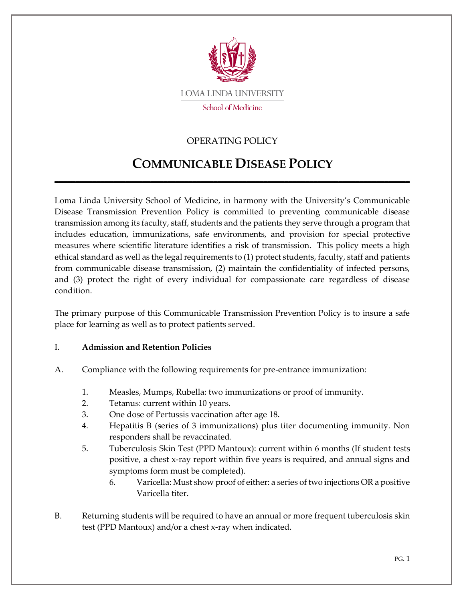

# OPERATING POLICY

# **COMMUNICABLE DISEASE POLICY**

\_\_\_\_\_\_\_\_\_\_\_\_\_\_\_\_\_\_\_\_\_\_\_\_\_\_\_\_\_\_\_\_\_\_\_\_\_\_\_\_\_\_\_\_\_\_\_\_\_\_\_\_\_\_\_\_\_\_\_\_\_\_\_\_\_\_\_\_\_\_\_\_\_\_\_\_\_\_\_\_\_\_\_\_\_

Loma Linda University School of Medicine, in harmony with the University's Communicable Disease Transmission Prevention Policy is committed to preventing communicable disease transmission among its faculty, staff, students and the patients they serve through a program that includes education, immunizations, safe environments, and provision for special protective measures where scientific literature identifies a risk of transmission. This policy meets a high ethical standard as well as the legal requirements to (1) protect students, faculty, staff and patients from communicable disease transmission, (2) maintain the confidentiality of infected persons, and (3) protect the right of every individual for compassionate care regardless of disease condition.

The primary purpose of this Communicable Transmission Prevention Policy is to insure a safe place for learning as well as to protect patients served.

#### I. **Admission and Retention Policies**

- A. Compliance with the following requirements for pre-entrance immunization:
	- 1. Measles, Mumps, Rubella: two immunizations or proof of immunity.
	- 2. Tetanus: current within 10 years.
	- 3. One dose of Pertussis vaccination after age 18.
	- 4. Hepatitis B (series of 3 immunizations) plus titer documenting immunity. Non responders shall be revaccinated.
	- 5. Tuberculosis Skin Test (PPD Mantoux): current within 6 months (If student tests positive, a chest x-ray report within five years is required, and annual signs and symptoms form must be completed).
		- 6. Varicella: Must show proof of either: a series of two injections OR a positive Varicella titer.
- B. Returning students will be required to have an annual or more frequent tuberculosis skin test (PPD Mantoux) and/or a chest x-ray when indicated.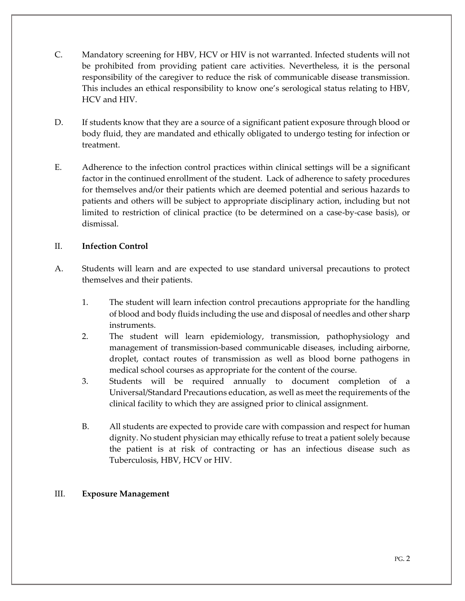- C. Mandatory screening for HBV, HCV or HIV is not warranted. Infected students will not be prohibited from providing patient care activities. Nevertheless, it is the personal responsibility of the caregiver to reduce the risk of communicable disease transmission. This includes an ethical responsibility to know one's serological status relating to HBV, HCV and HIV.
- D. If students know that they are a source of a significant patient exposure through blood or body fluid, they are mandated and ethically obligated to undergo testing for infection or treatment.
- E. Adherence to the infection control practices within clinical settings will be a significant factor in the continued enrollment of the student. Lack of adherence to safety procedures for themselves and/or their patients which are deemed potential and serious hazards to patients and others will be subject to appropriate disciplinary action, including but not limited to restriction of clinical practice (to be determined on a case-by-case basis), or dismissal.

### II. **Infection Control**

- A. Students will learn and are expected to use standard universal precautions to protect themselves and their patients.
	- 1. The student will learn infection control precautions appropriate for the handling of blood and body fluids including the use and disposal of needles and other sharp instruments.
	- 2. The student will learn epidemiology, transmission, pathophysiology and management of transmission-based communicable diseases, including airborne, droplet, contact routes of transmission as well as blood borne pathogens in medical school courses as appropriate for the content of the course.
	- 3. Students will be required annually to document completion of a Universal/Standard Precautions education, as well as meet the requirements of the clinical facility to which they are assigned prior to clinical assignment.
	- B. All students are expected to provide care with compassion and respect for human dignity. No student physician may ethically refuse to treat a patient solely because the patient is at risk of contracting or has an infectious disease such as Tuberculosis, HBV, HCV or HIV.

#### III. **Exposure Management**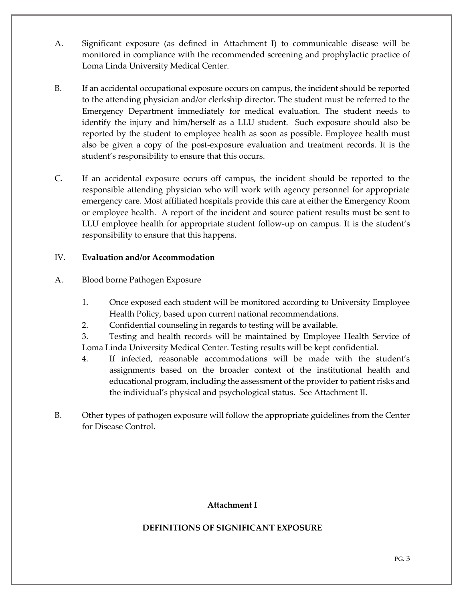- A. Significant exposure (as defined in Attachment I) to communicable disease will be monitored in compliance with the recommended screening and prophylactic practice of Loma Linda University Medical Center.
- B. If an accidental occupational exposure occurs on campus, the incident should be reported to the attending physician and/or clerkship director. The student must be referred to the Emergency Department immediately for medical evaluation. The student needs to identify the injury and him/herself as a LLU student. Such exposure should also be reported by the student to employee health as soon as possible. Employee health must also be given a copy of the post-exposure evaluation and treatment records. It is the student's responsibility to ensure that this occurs.
- C. If an accidental exposure occurs off campus, the incident should be reported to the responsible attending physician who will work with agency personnel for appropriate emergency care. Most affiliated hospitals provide this care at either the Emergency Room or employee health. A report of the incident and source patient results must be sent to LLU employee health for appropriate student follow-up on campus. It is the student's responsibility to ensure that this happens.

### IV. **Evaluation and/or Accommodation**

- A. Blood borne Pathogen Exposure
	- 1. Once exposed each student will be monitored according to University Employee Health Policy, based upon current national recommendations.
	- 2. Confidential counseling in regards to testing will be available.
	- 3. Testing and health records will be maintained by Employee Health Service of Loma Linda University Medical Center. Testing results will be kept confidential.
	- 4. If infected, reasonable accommodations will be made with the student's assignments based on the broader context of the institutional health and educational program, including the assessment of the provider to patient risks and the individual's physical and psychological status. See Attachment II.
- B. Other types of pathogen exposure will follow the appropriate guidelines from the Center for Disease Control.

# **Attachment I**

# **DEFINITIONS OF SIGNIFICANT EXPOSURE**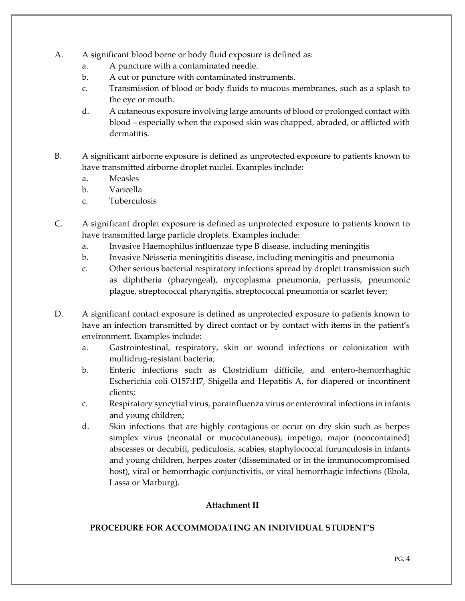- A. A significant blood borne or body fluid exposure is defined as:
	- a. A puncture with a contaminated needle.
	- b. A cut or puncture with contaminated instruments.
	- c. Transmission of blood or body fluids to mucous membranes, such as a splash to the eye or mouth.
	- d. A cutaneous exposure involving large amounts of blood or prolonged contact with blood – especially when the exposed skin was chapped, abraded, or afflicted with dermatitis.
- B. A significant airborne exposure is defined as unprotected exposure to patients known to have transmitted airborne droplet nuclei. Examples include:
	- a. Measles
	- b. Varicella
	- c. Tuberculosis
- C. A significant droplet exposure is defined as unprotected exposure to patients known to have transmitted large particle droplets. Examples include:
	- a. Invasive Haemophilus influenzae type B disease, including meningitis
	- b. Invasive Neisseria meningititis disease, including meningitis and pneumonia
	- c. Other serious bacterial respiratory infections spread by droplet transmission such as diphtheria (pharyngeal), mycoplasma pneumonia, pertussis, pneumonic plague, streptococcal pharyngitis, streptococcal pneumonia or scarlet fever;
- D. A significant contact exposure is defined as unprotected exposure to patients known to have an infection transmitted by direct contact or by contact with items in the patient's environment. Examples include:
	- a. Gastrointestinal, respiratory, skin or wound infections or colonization with multidrug-resistant bacteria;
	- b. Enteric infections such as Clostridium difficile, and entero-hemorrhaghic Escherichia coli O157:H7, Shigella and Hepatitis A, for diapered or incontinent clients;
	- c. Respiratory syncytial virus, parainfluenza virus or enteroviral infections in infants and young children;
	- d. Skin infections that are highly contagious or occur on dry skin such as herpes simplex virus (neonatal or mucocutaneous), impetigo, major (noncontained) abscesses or decubiti, pediculosis, scabies, staphylococcal furunculosis in infants and young children, herpes zoster (disseminated or in the immunocompromised host), viral or hemorrhagic conjunctivitis, or viral hemorrhagic infections (Ebola, Lassa or Marburg).

# **Attachment II**

#### **PROCEDURE FOR ACCOMMODATING AN INDIVIDUAL STUDENT'S**